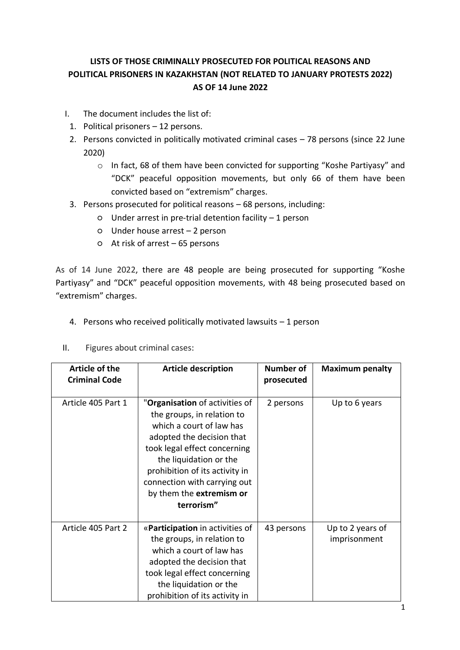# **LISTS OF THOSE CRIMINALLY PROSECUTED FOR POLITICAL REASONS AND POLITICAL PRISONERS IN KAZAKHSTAN (NOT RELATED TO JANUARY PROTESTS 2022) AS OF 14 June 2022**

- I. The document includes the list of:
- 1. Political prisoners 12 persons.
- 2. Persons convicted in politically motivated criminal cases 78 persons (since 22 June 2020)
	- o In fact, 68 of them have been convicted for supporting "Koshe Partiyasy" and "DCK" peaceful opposition movements, but only 66 of them have been convicted based on "extremism" charges.
- 3. Persons prosecuted for political reasons 68 persons, including:
	- Under arrest in pre-trial detention facility 1 person
	- Under house arrest 2 person
	- At risk of arrest 65 persons

As of 14 June 2022, there are 48 people are being prosecuted for supporting "Koshe Partiyasy" and "DCK" peaceful opposition movements, with 48 being prosecuted based on "extremism" charges.

- 4. Persons who received politically motivated lawsuits 1 person
- II. Figures about criminal cases:

| <b>Article of the</b><br><b>Criminal Code</b> | <b>Article description</b>                                                                                                                                                                                                                                                                  | <b>Number of</b><br>prosecuted | <b>Maximum penalty</b>           |
|-----------------------------------------------|---------------------------------------------------------------------------------------------------------------------------------------------------------------------------------------------------------------------------------------------------------------------------------------------|--------------------------------|----------------------------------|
| Article 405 Part 1                            | "Organisation of activities of<br>the groups, in relation to<br>which a court of law has<br>adopted the decision that<br>took legal effect concerning<br>the liquidation or the<br>prohibition of its activity in<br>connection with carrying out<br>by them the extremism or<br>terrorism" | 2 persons                      | Up to 6 years                    |
| Article 405 Part 2                            | «Participation in activities of<br>the groups, in relation to<br>which a court of law has<br>adopted the decision that<br>took legal effect concerning<br>the liquidation or the<br>prohibition of its activity in                                                                          | 43 persons                     | Up to 2 years of<br>imprisonment |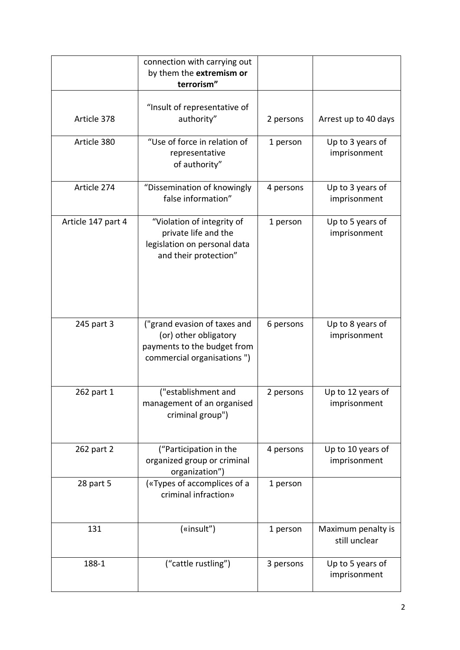|                    | connection with carrying out<br>by them the extremism or<br>terrorism"                                             |           |                                     |
|--------------------|--------------------------------------------------------------------------------------------------------------------|-----------|-------------------------------------|
| Article 378        | "Insult of representative of<br>authority"                                                                         | 2 persons | Arrest up to 40 days                |
| Article 380        | "Use of force in relation of<br>representative<br>of authority"                                                    | 1 person  | Up to 3 years of<br>imprisonment    |
| Article 274        | "Dissemination of knowingly<br>false information"                                                                  | 4 persons | Up to 3 years of<br>imprisonment    |
| Article 147 part 4 | "Violation of integrity of<br>private life and the<br>legislation on personal data<br>and their protection"        | 1 person  | Up to 5 years of<br>imprisonment    |
| 245 part 3         | ("grand evasion of taxes and<br>(or) other obligatory<br>payments to the budget from<br>commercial organisations") | 6 persons | Up to 8 years of<br>imprisonment    |
| 262 part 1         | ("establishment and<br>management of an organised<br>criminal group")                                              | 2 persons | Up to 12 years of<br>imprisonment   |
| 262 part 2         | ("Participation in the<br>organized group or criminal<br>organization")                                            | 4 persons | Up to 10 years of<br>imprisonment   |
| 28 part 5          | («Types of accomplices of a<br>criminal infraction»                                                                | 1 person  |                                     |
| 131                | («insult")                                                                                                         | 1 person  | Maximum penalty is<br>still unclear |
| 188-1              | ("cattle rustling")                                                                                                | 3 persons | Up to 5 years of<br>imprisonment    |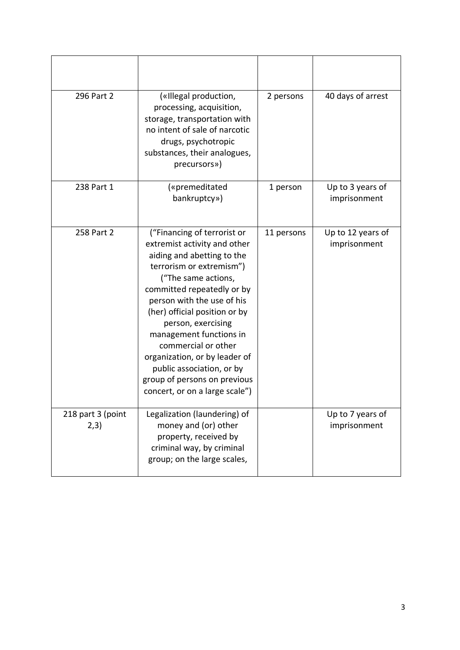| 296 Part 2                | («Illegal production,<br>processing, acquisition,<br>storage, transportation with<br>no intent of sale of narcotic<br>drugs, psychotropic<br>substances, their analogues,<br>precursors»)                                                                                                                                                                                                                                                         | 2 persons  | 40 days of arrest                 |
|---------------------------|---------------------------------------------------------------------------------------------------------------------------------------------------------------------------------------------------------------------------------------------------------------------------------------------------------------------------------------------------------------------------------------------------------------------------------------------------|------------|-----------------------------------|
| 238 Part 1                | («premeditated<br>bankruptcy»)                                                                                                                                                                                                                                                                                                                                                                                                                    | 1 person   | Up to 3 years of<br>imprisonment  |
| 258 Part 2                | ("Financing of terrorist or<br>extremist activity and other<br>aiding and abetting to the<br>terrorism or extremism")<br>("The same actions,<br>committed repeatedly or by<br>person with the use of his<br>(her) official position or by<br>person, exercising<br>management functions in<br>commercial or other<br>organization, or by leader of<br>public association, or by<br>group of persons on previous<br>concert, or on a large scale") | 11 persons | Up to 12 years of<br>imprisonment |
| 218 part 3 (point<br>2,3) | Legalization (laundering) of<br>money and (or) other<br>property, received by<br>criminal way, by criminal<br>group; on the large scales,                                                                                                                                                                                                                                                                                                         |            | Up to 7 years of<br>imprisonment  |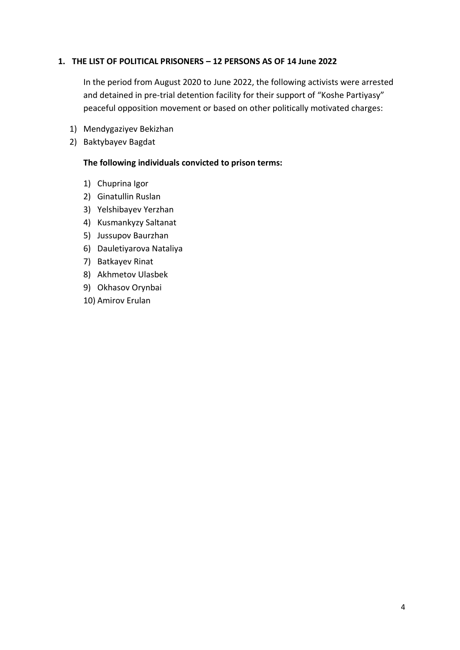## **1. THE LIST OF POLITICAL PRISONERS – 12 PERSONS AS OF 14 June 2022**

In the period from August 2020 to June 2022, the following activists were arrested and detained in pre-trial detention facility for their support of "Koshe Partiyasy" peaceful opposition movement or based on other politically motivated charges:

- 1) Mendygaziyev Bekizhan
- 2) Baktybayev Bagdat

#### **The following individuals convicted to prison terms:**

- 1) Chuprina Igor
- 2) Ginatullin Ruslan
- 3) Yelshibayev Yerzhan
- 4) Kusmankyzy Saltanat
- 5) Jussupov Baurzhan
- 6) Dauletiyarova Nataliya
- 7) Batkayev Rinat
- 8) Akhmetov Ulasbek
- 9) Okhasov Orynbai
- 10) Amirov Erulan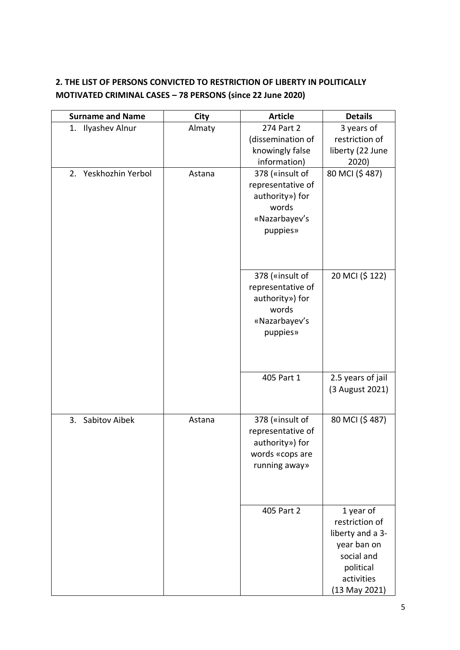# **2. THE LIST OF PERSONS CONVICTED TO RESTRICTION OF LIBERTY IN POLITICALLY MOTIVATED CRIMINAL CASES – 78 PERSONS (since 22 June 2020)**

| <b>Surname and Name</b> | City   | <b>Article</b>           | <b>Details</b>                  |
|-------------------------|--------|--------------------------|---------------------------------|
| 1. Ilyashev Alnur       | Almaty | 274 Part 2               | 3 years of                      |
|                         |        | (dissemination of        | restriction of                  |
|                         |        | knowingly false          | liberty (22 June                |
|                         |        | information)             | 2020)                           |
| 2. Yeskhozhin Yerbol    | Astana | 378 («insult of          | 80 MCI (\$487)                  |
|                         |        | representative of        |                                 |
|                         |        | authority») for          |                                 |
|                         |        | words                    |                                 |
|                         |        | «Nazarbayev's            |                                 |
|                         |        | puppies»                 |                                 |
|                         |        |                          |                                 |
|                         |        |                          |                                 |
|                         |        |                          |                                 |
|                         |        | 378 («insult of          | 20 MCI (\$122)                  |
|                         |        | representative of        |                                 |
|                         |        | authority») for<br>words |                                 |
|                         |        | «Nazarbayev's            |                                 |
|                         |        | puppies»                 |                                 |
|                         |        |                          |                                 |
|                         |        |                          |                                 |
|                         |        |                          |                                 |
|                         |        | 405 Part 1               | 2.5 years of jail               |
|                         |        |                          | (3 August 2021)                 |
|                         |        |                          |                                 |
|                         |        |                          |                                 |
| 3. Sabitov Aibek        | Astana | 378 («insult of          | 80 MCI (\$487)                  |
|                         |        | representative of        |                                 |
|                         |        | authority») for          |                                 |
|                         |        | words «cops are          |                                 |
|                         |        | running away»            |                                 |
|                         |        |                          |                                 |
|                         |        |                          |                                 |
|                         |        | 405 Part 2               |                                 |
|                         |        |                          | 1 year of<br>restriction of     |
|                         |        |                          |                                 |
|                         |        |                          | liberty and a 3-<br>year ban on |
|                         |        |                          | social and                      |
|                         |        |                          | political                       |
|                         |        |                          | activities                      |
|                         |        |                          | $(13$ May 2021)                 |
|                         |        |                          |                                 |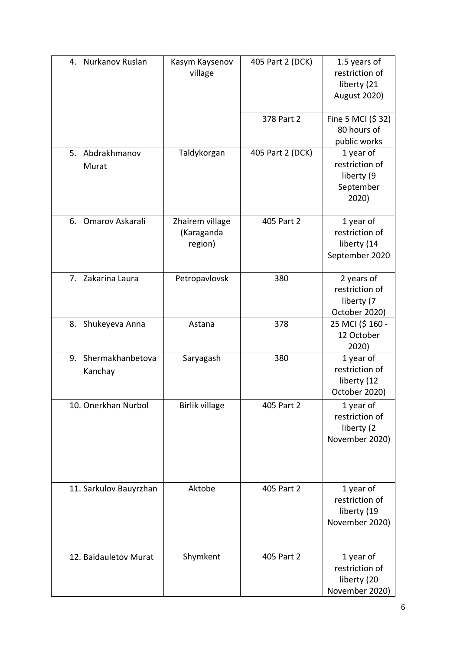| 4. Nurkanov Ruslan             | Kasym Kaysenov<br>village                | 405 Part 2 (DCK) | 1.5 years of<br>restriction of<br>liberty (21<br><b>August 2020)</b> |
|--------------------------------|------------------------------------------|------------------|----------------------------------------------------------------------|
|                                |                                          | 378 Part 2       | Fine 5 MCI (\$32)<br>80 hours of<br>public works                     |
| 5. Abdrakhmanov<br>Murat       | Taldykorgan                              | 405 Part 2 (DCK) | 1 year of<br>restriction of<br>liberty (9<br>September<br>2020)      |
| 6. Omarov Askarali             | Zhairem village<br>(Karaganda<br>region) | 405 Part 2       | 1 year of<br>restriction of<br>liberty (14<br>September 2020         |
| 7. Zakarina Laura              | Petropavlovsk                            | 380              | 2 years of<br>restriction of<br>liberty (7<br>October 2020)          |
| 8. Shukeyeva Anna              | Astana                                   | 378              | 25 MCI (\$160 -<br>12 October<br>2020)                               |
| 9. Shermakhanbetova<br>Kanchay | Saryagash                                | 380              | 1 year of<br>restriction of<br>liberty (12<br>October 2020)          |
| 10. Onerkhan Nurbol            | <b>Birlik village</b>                    | 405 Part 2       | 1 year of<br>restriction of<br>liberty (2<br>November 2020)          |
| 11. Sarkulov Bauyrzhan         | Aktobe                                   | 405 Part 2       | 1 year of<br>restriction of<br>liberty (19<br>November 2020)         |
| 12. Baidauletov Murat          | Shymkent                                 | 405 Part 2       | 1 year of<br>restriction of<br>liberty (20<br>November 2020)         |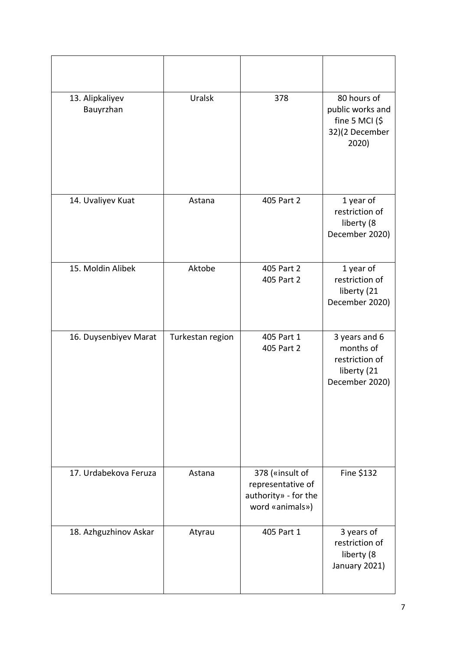| 13. Alipkaliyev<br>Bauyrzhan | Uralsk           | 378                                                                             | 80 hours of<br>public works and<br>fine 5 MCI $($ \$<br>32)(2 December<br>2020) |
|------------------------------|------------------|---------------------------------------------------------------------------------|---------------------------------------------------------------------------------|
| 14. Uvaliyev Kuat            | Astana           | 405 Part 2                                                                      | 1 year of<br>restriction of<br>liberty (8<br>December 2020)                     |
| 15. Moldin Alibek            | Aktobe           | 405 Part 2<br>405 Part 2                                                        | 1 year of<br>restriction of<br>liberty (21<br>December 2020)                    |
| 16. Duysenbiyev Marat        | Turkestan region | 405 Part 1<br>405 Part 2                                                        | 3 years and 6<br>months of<br>restriction of<br>liberty (21<br>December 2020)   |
| 17. Urdabekova Feruza        | Astana           | 378 («insult of<br>representative of<br>authority» - for the<br>word «animals») | Fine \$132                                                                      |
| 18. Azhguzhinov Askar        | Atyrau           | 405 Part 1                                                                      | 3 years of<br>restriction of<br>liberty (8<br>January 2021)                     |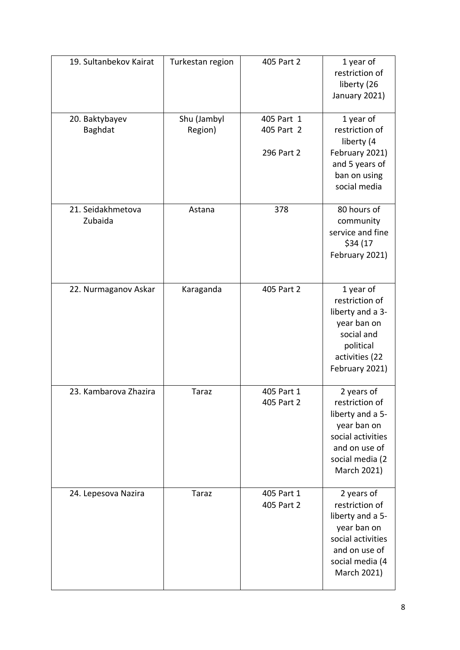| 19. Sultanbekov Kairat       | Turkestan region | 405 Part 2               | 1 year of<br>restriction of<br>liberty (26<br>January 2021)                                                                             |
|------------------------------|------------------|--------------------------|-----------------------------------------------------------------------------------------------------------------------------------------|
| 20. Baktybayev               | Shu (Jambyl      | 405 Part 1               | 1 year of                                                                                                                               |
| Baghdat                      | Region)          | 405 Part 2               | restriction of<br>liberty (4                                                                                                            |
|                              |                  | 296 Part 2               | February 2021)<br>and 5 years of<br>ban on using<br>social media                                                                        |
| 21. Seidakhmetova<br>Zubaida | Astana           | 378                      | 80 hours of<br>community<br>service and fine<br>\$34 (17<br>February 2021)                                                              |
| 22. Nurmaganov Askar         | Karaganda        | 405 Part 2               | 1 year of<br>restriction of<br>liberty and a 3-<br>year ban on<br>social and<br>political<br>activities (22<br>February 2021)           |
| 23. Kambarova Zhazira        | <b>Taraz</b>     | 405 Part 1<br>405 Part 2 | 2 years of<br>restriction of<br>liberty and a 5-<br>year ban on<br>social activities<br>and on use of<br>social media (2<br>March 2021) |
| 24. Lepesova Nazira          | <b>Taraz</b>     | 405 Part 1<br>405 Part 2 | 2 years of<br>restriction of<br>liberty and a 5-<br>year ban on<br>social activities<br>and on use of<br>social media (4<br>March 2021) |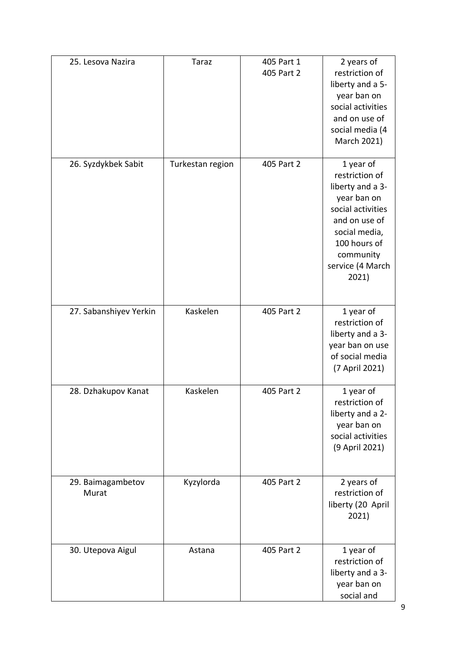| 25. Lesova Nazira          | <b>Taraz</b>     | 405 Part 1<br>405 Part 2 | 2 years of<br>restriction of<br>liberty and a 5-<br>year ban on<br>social activities<br>and on use of<br>social media (4<br>March 2021)                                         |
|----------------------------|------------------|--------------------------|---------------------------------------------------------------------------------------------------------------------------------------------------------------------------------|
| 26. Syzdykbek Sabit        | Turkestan region | 405 Part 2               | 1 year of<br>restriction of<br>liberty and a 3-<br>year ban on<br>social activities<br>and on use of<br>social media,<br>100 hours of<br>community<br>service (4 March<br>2021) |
| 27. Sabanshiyev Yerkin     | Kaskelen         | 405 Part 2               | 1 year of<br>restriction of<br>liberty and a 3-<br>year ban on use<br>of social media<br>(7 April 2021)                                                                         |
| 28. Dzhakupov Kanat        | Kaskelen         | 405 Part 2               | 1 year of<br>restriction of<br>liberty and a 2-<br>year ban on<br>social activities<br>(9 April 2021)                                                                           |
| 29. Baimagambetov<br>Murat | Kyzylorda        | 405 Part 2               | 2 years of<br>restriction of<br>liberty (20 April<br>2021)                                                                                                                      |
| 30. Utepova Aigul          | Astana           | 405 Part 2               | 1 year of<br>restriction of<br>liberty and a 3-<br>year ban on<br>social and                                                                                                    |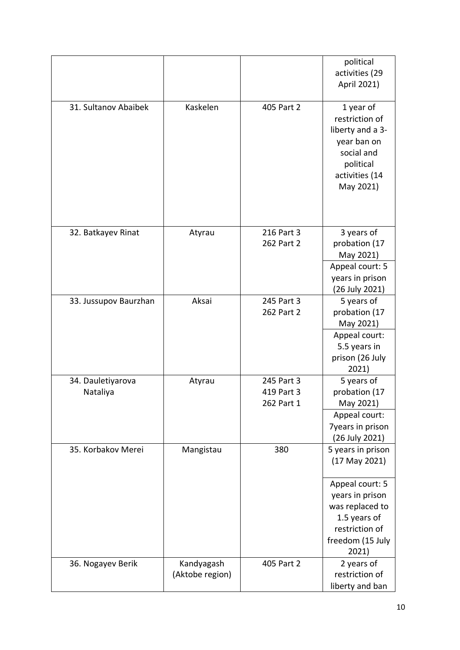|                               |                               |                                        | political<br>activities (29<br>April 2021)                                                                               |
|-------------------------------|-------------------------------|----------------------------------------|--------------------------------------------------------------------------------------------------------------------------|
| 31. Sultanov Abaibek          | Kaskelen                      | 405 Part 2                             | 1 year of<br>restriction of<br>liberty and a 3-<br>year ban on<br>social and<br>political<br>activities (14<br>May 2021) |
| 32. Batkayev Rinat            | Atyrau                        | 216 Part 3<br>262 Part 2               | 3 years of<br>probation (17<br>May 2021)<br>Appeal court: 5<br>years in prison<br>(26 July 2021)                         |
| 33. Jussupov Baurzhan         | Aksai                         | 245 Part 3<br>262 Part 2               | 5 years of<br>probation (17<br>May 2021)                                                                                 |
|                               |                               |                                        | Appeal court:<br>5.5 years in<br>prison (26 July<br>2021)                                                                |
| 34. Dauletiyarova<br>Nataliya | Atyrau                        | 245 Part 3<br>419 Part 3<br>262 Part 1 | 5 years of<br>probation (17<br>May 2021)                                                                                 |
|                               |                               |                                        | Appeal court:<br><b>7years in prison</b><br>(26 July 2021)                                                               |
| 35. Korbakov Merei            | Mangistau                     | 380                                    | 5 years in prison<br>$(17$ May 2021)                                                                                     |
|                               |                               |                                        | Appeal court: 5<br>years in prison<br>was replaced to<br>1.5 years of<br>restriction of<br>freedom (15 July<br>2021)     |
| 36. Nogayev Berik             | Kandyagash<br>(Aktobe region) | 405 Part 2                             | 2 years of<br>restriction of<br>liberty and ban                                                                          |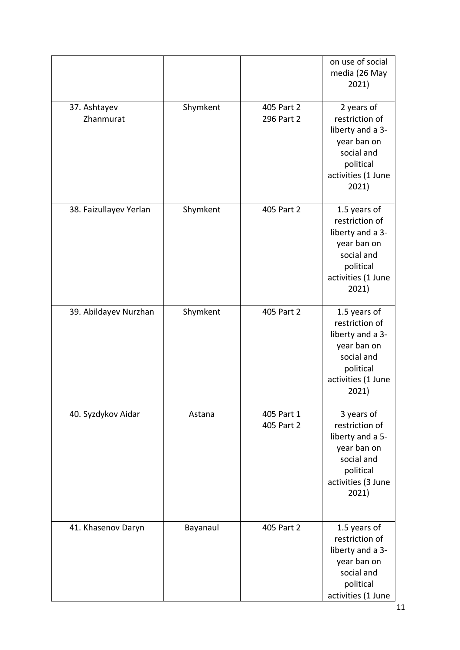|                           |          |                          | on use of social<br>media (26 May<br>2021)                                                                                  |
|---------------------------|----------|--------------------------|-----------------------------------------------------------------------------------------------------------------------------|
| 37. Ashtayev<br>Zhanmurat | Shymkent | 405 Part 2<br>296 Part 2 | 2 years of<br>restriction of<br>liberty and a 3-<br>year ban on<br>social and<br>political<br>activities (1 June<br>2021)   |
| 38. Faizullayev Yerlan    | Shymkent | 405 Part 2               | 1.5 years of<br>restriction of<br>liberty and a 3-<br>year ban on<br>social and<br>political<br>activities (1 June<br>2021) |
| 39. Abildayev Nurzhan     | Shymkent | 405 Part 2               | 1.5 years of<br>restriction of<br>liberty and a 3-<br>year ban on<br>social and<br>political<br>activities (1 June<br>2021) |
| 40. Syzdykov Aidar        | Astana   | 405 Part 1<br>405 Part 2 | 3 years of<br>restriction of<br>liberty and a 5-<br>year ban on<br>social and<br>political<br>activities (3 June<br>2021)   |
| 41. Khasenov Daryn        | Bayanaul | 405 Part 2               | 1.5 years of<br>restriction of<br>liberty and a 3-<br>year ban on<br>social and<br>political<br>activities (1 June          |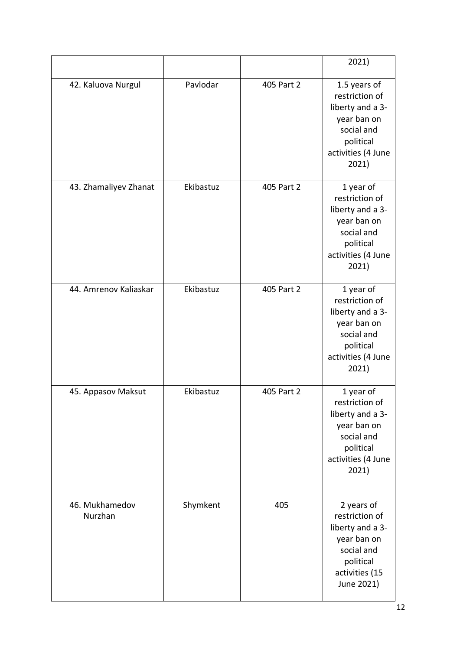|                           |           |            | 2021)                                                                                                                       |
|---------------------------|-----------|------------|-----------------------------------------------------------------------------------------------------------------------------|
| 42. Kaluova Nurgul        | Pavlodar  | 405 Part 2 | 1.5 years of<br>restriction of<br>liberty and a 3-<br>year ban on<br>social and<br>political<br>activities (4 June<br>2021) |
| 43. Zhamaliyev Zhanat     | Ekibastuz | 405 Part 2 | 1 year of<br>restriction of<br>liberty and a 3-<br>year ban on<br>social and<br>political<br>activities (4 June<br>2021)    |
| 44. Amrenov Kaliaskar     | Ekibastuz | 405 Part 2 | 1 year of<br>restriction of<br>liberty and a 3-<br>year ban on<br>social and<br>political<br>activities (4 June<br>2021)    |
| 45. Appasov Maksut        | Ekibastuz | 405 Part 2 | 1 year of<br>restriction of<br>liberty and a 3-<br>year ban on<br>social and<br>political<br>activities (4 June<br>2021)    |
| 46. Mukhamedov<br>Nurzhan | Shymkent  | 405        | 2 years of<br>restriction of<br>liberty and a 3-<br>year ban on<br>social and<br>political<br>activities (15<br>June 2021)  |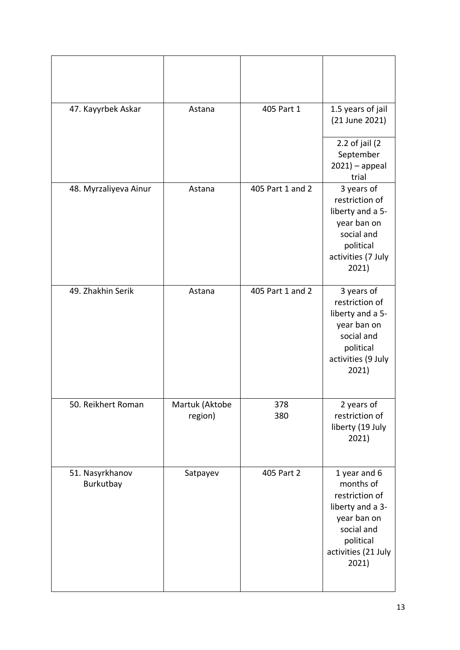| 47. Kayyrbek Askar           | Astana                    | 405 Part 1       | 1.5 years of jail<br>(21 June 2021)                                                                                                       |
|------------------------------|---------------------------|------------------|-------------------------------------------------------------------------------------------------------------------------------------------|
|                              |                           |                  | 2.2 of jail $(2)$<br>September<br>$2021$ ) – appeal<br>trial                                                                              |
| 48. Myrzaliyeva Ainur        | Astana                    | 405 Part 1 and 2 | 3 years of<br>restriction of<br>liberty and a 5-<br>year ban on<br>social and<br>political<br>activities (7 July<br>2021)                 |
| 49. Zhakhin Serik            | Astana                    | 405 Part 1 and 2 | 3 years of<br>restriction of<br>liberty and a 5-<br>year ban on<br>social and<br>political<br>activities (9 July<br>2021)                 |
| 50. Reikhert Roman           | Martuk (Aktobe<br>region) | 378<br>380       | 2 years of<br>restriction of<br>liberty (19 July<br>2021)                                                                                 |
| 51. Nasyrkhanov<br>Burkutbay | Satpayev                  | 405 Part 2       | 1 year and 6<br>months of<br>restriction of<br>liberty and a 3-<br>year ban on<br>social and<br>political<br>activities (21 July<br>2021) |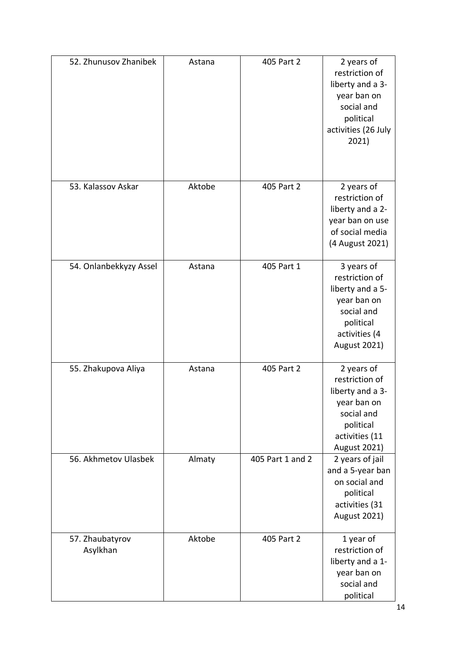| 52. Zhunusov Zhanibek       | Astana | 405 Part 2       | 2 years of<br>restriction of<br>liberty and a 3-<br>year ban on<br>social and<br>political<br>activities (26 July<br>2021)          |
|-----------------------------|--------|------------------|-------------------------------------------------------------------------------------------------------------------------------------|
| 53. Kalassov Askar          | Aktobe | 405 Part 2       | 2 years of<br>restriction of<br>liberty and a 2-<br>year ban on use<br>of social media<br>(4 August 2021)                           |
| 54. Onlanbekkyzy Assel      | Astana | 405 Part 1       | 3 years of<br>restriction of<br>liberty and a 5-<br>year ban on<br>social and<br>political<br>activities (4<br><b>August 2021)</b>  |
| 55. Zhakupova Aliya         | Astana | 405 Part 2       | 2 years of<br>restriction of<br>liberty and a 3-<br>year ban on<br>social and<br>political<br>activities (11<br><b>August 2021)</b> |
| 56. Akhmetov Ulasbek        | Almaty | 405 Part 1 and 2 | 2 years of jail<br>and a 5-year ban<br>on social and<br>political<br>activities (31<br><b>August 2021)</b>                          |
| 57. Zhaubatyrov<br>Asylkhan | Aktobe | 405 Part 2       | 1 year of<br>restriction of<br>liberty and a 1-<br>year ban on<br>social and<br>political                                           |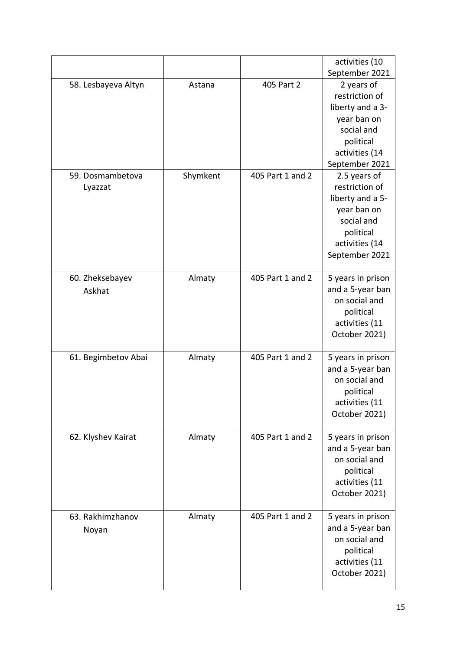|                     |          |                  | activities (10    |
|---------------------|----------|------------------|-------------------|
|                     |          |                  | September 2021    |
| 58. Lesbayeva Altyn | Astana   | 405 Part 2       | 2 years of        |
|                     |          |                  | restriction of    |
|                     |          |                  | liberty and a 3-  |
|                     |          |                  | year ban on       |
|                     |          |                  | social and        |
|                     |          |                  | political         |
|                     |          |                  | activities (14    |
|                     |          |                  | September 2021    |
| 59. Dosmambetova    | Shymkent | 405 Part 1 and 2 | 2.5 years of      |
| Lyazzat             |          |                  | restriction of    |
|                     |          |                  | liberty and a 5-  |
|                     |          |                  | year ban on       |
|                     |          |                  | social and        |
|                     |          |                  | political         |
|                     |          |                  | activities (14    |
|                     |          |                  | September 2021    |
|                     |          |                  |                   |
| 60. Zheksebayev     | Almaty   | 405 Part 1 and 2 | 5 years in prison |
| Askhat              |          |                  | and a 5-year ban  |
|                     |          |                  | on social and     |
|                     |          |                  | political         |
|                     |          |                  | activities (11    |
|                     |          |                  | October 2021)     |
| 61. Begimbetov Abai | Almaty   | 405 Part 1 and 2 | 5 years in prison |
|                     |          |                  | and a 5-year ban  |
|                     |          |                  | on social and     |
|                     |          |                  | political         |
|                     |          |                  | activities (11    |
|                     |          |                  | October 2021)     |
|                     |          |                  |                   |
| 62. Klyshev Kairat  | Almaty   | 405 Part 1 and 2 | 5 years in prison |
|                     |          |                  | and a 5-year ban  |
|                     |          |                  | on social and     |
|                     |          |                  | political         |
|                     |          |                  | activities (11    |
|                     |          |                  | October 2021)     |
|                     |          |                  |                   |
| 63. Rakhimzhanov    | Almaty   | 405 Part 1 and 2 | 5 years in prison |
| Noyan               |          |                  | and a 5-year ban  |
|                     |          |                  | on social and     |
|                     |          |                  | political         |
|                     |          |                  | activities (11    |
|                     |          |                  | October 2021)     |
|                     |          |                  |                   |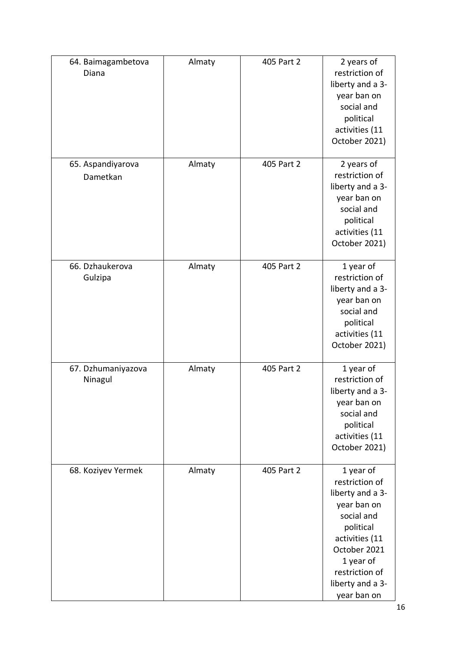| 64. Baimagambetova<br>Diana   | Almaty | 405 Part 2 | 2 years of<br>restriction of<br>liberty and a 3-<br>year ban on<br>social and<br>political<br>activities (11<br>October 2021)                                                                 |
|-------------------------------|--------|------------|-----------------------------------------------------------------------------------------------------------------------------------------------------------------------------------------------|
| 65. Aspandiyarova<br>Dametkan | Almaty | 405 Part 2 | 2 years of<br>restriction of<br>liberty and a 3-<br>year ban on<br>social and<br>political<br>activities (11<br>October 2021)                                                                 |
| 66. Dzhaukerova<br>Gulzipa    | Almaty | 405 Part 2 | 1 year of<br>restriction of<br>liberty and a 3-<br>year ban on<br>social and<br>political<br>activities (11<br>October 2021)                                                                  |
| 67. Dzhumaniyazova<br>Ninagul | Almaty | 405 Part 2 | 1 year of<br>restriction of<br>liberty and a 3-<br>year ban on<br>social and<br>political<br>activities (11<br>October 2021)                                                                  |
| 68. Koziyev Yermek            | Almaty | 405 Part 2 | 1 year of<br>restriction of<br>liberty and a 3-<br>year ban on<br>social and<br>political<br>activities (11<br>October 2021<br>1 year of<br>restriction of<br>liberty and a 3-<br>year ban on |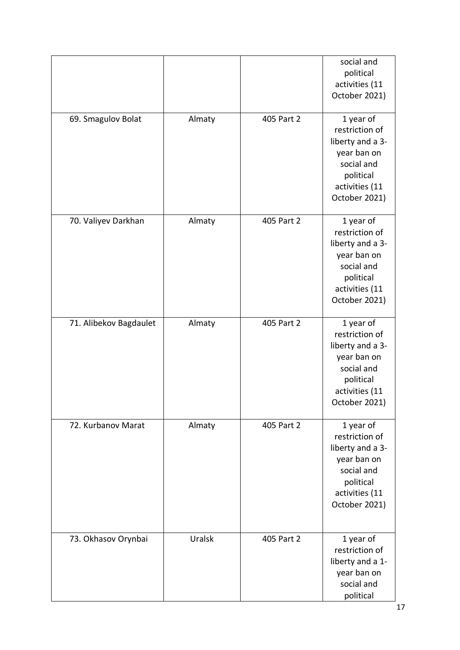|                        |        |            | social and<br>political<br>activities (11<br>October 2021)                                                                   |
|------------------------|--------|------------|------------------------------------------------------------------------------------------------------------------------------|
| 69. Smagulov Bolat     | Almaty | 405 Part 2 | 1 year of<br>restriction of<br>liberty and a 3-<br>year ban on<br>social and<br>political<br>activities (11<br>October 2021) |
| 70. Valiyev Darkhan    | Almaty | 405 Part 2 | 1 year of<br>restriction of<br>liberty and a 3-<br>year ban on<br>social and<br>political<br>activities (11<br>October 2021) |
| 71. Alibekov Bagdaulet | Almaty | 405 Part 2 | 1 year of<br>restriction of<br>liberty and a 3-<br>year ban on<br>social and<br>political<br>activities (11<br>October 2021) |
| 72. Kurbanov Marat     | Almaty | 405 Part 2 | 1 year of<br>restriction of<br>liberty and a 3-<br>year ban on<br>social and<br>political<br>activities (11<br>October 2021) |
| 73. Okhasov Orynbai    | Uralsk | 405 Part 2 | 1 year of<br>restriction of<br>liberty and a 1-<br>year ban on<br>social and<br>political                                    |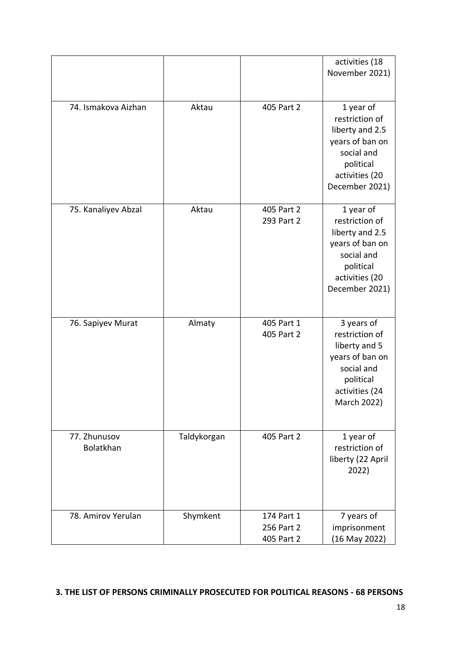|                           |             |                                        | activities (18<br>November 2021)                                                                                                 |
|---------------------------|-------------|----------------------------------------|----------------------------------------------------------------------------------------------------------------------------------|
| 74. Ismakova Aizhan       | Aktau       | 405 Part 2                             | 1 year of<br>restriction of<br>liberty and 2.5<br>years of ban on<br>social and<br>political<br>activities (20<br>December 2021) |
| 75. Kanaliyev Abzal       | Aktau       | 405 Part 2<br>293 Part 2               | 1 year of<br>restriction of<br>liberty and 2.5<br>years of ban on<br>social and<br>political<br>activities (20<br>December 2021) |
| 76. Sapiyev Murat         | Almaty      | 405 Part 1<br>405 Part 2               | 3 years of<br>restriction of<br>liberty and 5<br>years of ban on<br>social and<br>political<br>activities (24<br>March 2022)     |
| 77. Zhunusov<br>Bolatkhan | Taldykorgan | 405 Part 2                             | 1 year of<br>restriction of<br>liberty (22 April<br>2022)                                                                        |
| 78. Amirov Yerulan        | Shymkent    | 174 Part 1<br>256 Part 2<br>405 Part 2 | 7 years of<br>imprisonment<br>(16 May 2022)                                                                                      |

#### **3. THE LIST OF PERSONS CRIMINALLY PROSECUTED FOR POLITICAL REASONS - 68 PERSONS**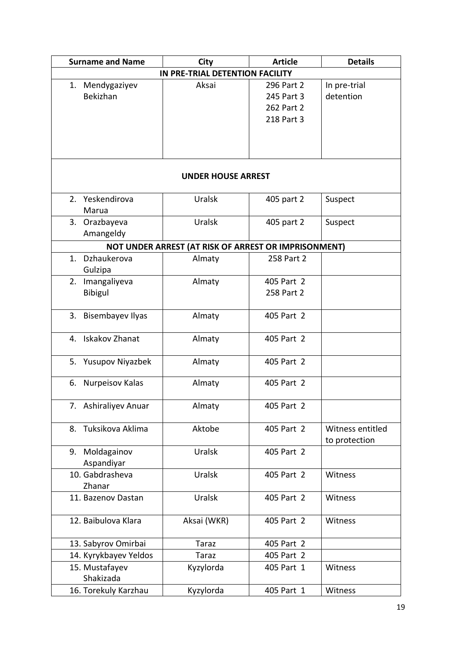| <b>Surname and Name</b>      | City                                                 | <b>Article</b> | <b>Details</b>                    |
|------------------------------|------------------------------------------------------|----------------|-----------------------------------|
|                              | IN PRE-TRIAL DETENTION FACILITY                      |                |                                   |
| 1. Mendygaziyev              | Aksai                                                | 296 Part 2     | In pre-trial                      |
| Bekizhan                     |                                                      | 245 Part 3     | detention                         |
|                              |                                                      | 262 Part 2     |                                   |
|                              |                                                      | 218 Part 3     |                                   |
|                              |                                                      |                |                                   |
|                              |                                                      |                |                                   |
|                              | <b>UNDER HOUSE ARREST</b>                            |                |                                   |
| 2. Yeskendirova              | Uralsk                                               | 405 part 2     | Suspect                           |
| Marua                        |                                                      |                |                                   |
| 3. Orazbayeva                | Uralsk                                               | 405 part 2     | Suspect                           |
| Amangeldy                    |                                                      |                |                                   |
|                              | NOT UNDER ARREST (AT RISK OF ARREST OR IMPRISONMENT) |                |                                   |
| 1. Dzhaukerova<br>Gulzipa    | Almaty                                               | 258 Part 2     |                                   |
| Imangaliyeva<br>2.           | Almaty                                               | 405 Part 2     |                                   |
| <b>Bibigul</b>               |                                                      | 258 Part 2     |                                   |
|                              |                                                      |                |                                   |
| 3. Bisembayev Ilyas          | Almaty                                               | 405 Part 2     |                                   |
| 4. Iskakov Zhanat            | Almaty                                               | 405 Part 2     |                                   |
| 5. Yusupov Niyazbek          | Almaty                                               | 405 Part 2     |                                   |
| Nurpeisov Kalas<br>6.        | Almaty                                               | 405 Part 2     |                                   |
| 7. Ashiraliyev Anuar         | Almaty                                               | 405 Part 2     |                                   |
| 8. Tuksikova Aklima          | Aktobe                                               | 405 Part 2     | Witness entitled<br>to protection |
| 9. Moldagainov<br>Aspandiyar | Uralsk                                               | 405 Part 2     |                                   |
| 10. Gabdrasheva<br>Zhanar    | Uralsk                                               | 405 Part 2     | Witness                           |
| 11. Bazenov Dastan           | Uralsk                                               | 405 Part 2     | Witness                           |
| 12. Baibulova Klara          | Aksai (WKR)                                          | 405 Part 2     | Witness                           |
| 13. Sabyrov Omirbai          | <b>Taraz</b>                                         | 405 Part 2     |                                   |
| 14. Kyrykbayev Yeldos        | <b>Taraz</b>                                         | 405 Part 2     |                                   |
| 15. Mustafayev<br>Shakizada  | Kyzylorda                                            | 405 Part 1     | Witness                           |
| 16. Torekuly Karzhau         | Kyzylorda                                            | 405 Part 1     | Witness                           |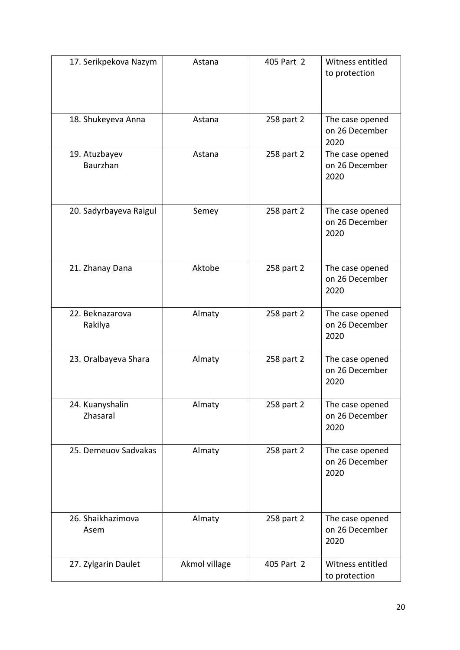| 17. Serikpekova Nazym            | Astana        | 405 Part 2 | Witness entitled<br>to protection         |
|----------------------------------|---------------|------------|-------------------------------------------|
| 18. Shukeyeva Anna               | Astana        | 258 part 2 | The case opened<br>on 26 December<br>2020 |
| 19. Atuzbayev<br><b>Baurzhan</b> | Astana        | 258 part 2 | The case opened<br>on 26 December<br>2020 |
| 20. Sadyrbayeva Raigul           | Semey         | 258 part 2 | The case opened<br>on 26 December<br>2020 |
| 21. Zhanay Dana                  | Aktobe        | 258 part 2 | The case opened<br>on 26 December<br>2020 |
| 22. Beknazarova<br>Rakilya       | Almaty        | 258 part 2 | The case opened<br>on 26 December<br>2020 |
| 23. Oralbayeva Shara             | Almaty        | 258 part 2 | The case opened<br>on 26 December<br>2020 |
| 24. Kuanyshalin<br>Zhasaral      | Almaty        | 258 part 2 | The case opened<br>on 26 December<br>2020 |
| 25. Demeuov Sadvakas             | Almaty        | 258 part 2 | The case opened<br>on 26 December<br>2020 |
| 26. Shaikhazimova<br>Asem        | Almaty        | 258 part 2 | The case opened<br>on 26 December<br>2020 |
| 27. Zylgarin Daulet              | Akmol village | 405 Part 2 | Witness entitled<br>to protection         |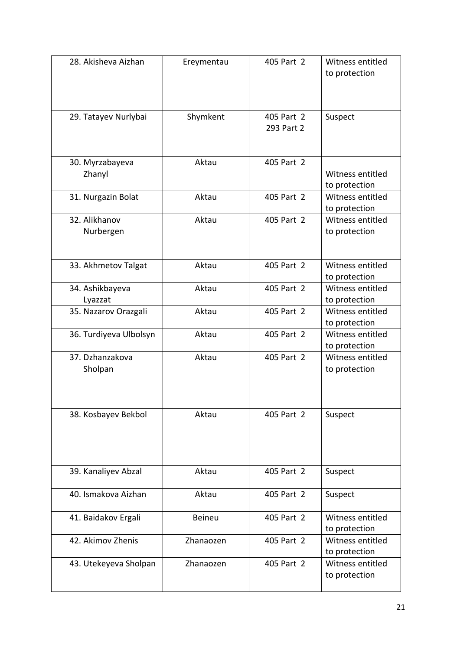| 28. Akisheva Aizhan    | Ereymentau    | 405 Part 2 | Witness entitled<br>to protection |
|------------------------|---------------|------------|-----------------------------------|
|                        |               |            |                                   |
|                        |               |            |                                   |
| 29. Tatayev Nurlybai   | Shymkent      | 405 Part 2 | Suspect                           |
|                        |               | 293 Part 2 |                                   |
|                        |               |            |                                   |
| 30. Myrzabayeva        | Aktau         | 405 Part 2 |                                   |
| Zhanyl                 |               |            | Witness entitled                  |
|                        | Aktau         | 405 Part 2 | to protection<br>Witness entitled |
| 31. Nurgazin Bolat     |               |            | to protection                     |
| 32. Alikhanov          | Aktau         | 405 Part 2 | Witness entitled                  |
| Nurbergen              |               |            | to protection                     |
|                        |               |            |                                   |
| 33. Akhmetov Talgat    | Aktau         | 405 Part 2 | Witness entitled                  |
|                        |               |            | to protection                     |
| 34. Ashikbayeva        | Aktau         | 405 Part 2 | Witness entitled                  |
| Lyazzat                |               |            | to protection                     |
| 35. Nazarov Orazgali   | Aktau         | 405 Part 2 | Witness entitled                  |
|                        |               |            | to protection                     |
| 36. Turdiyeva Ulbolsyn | Aktau         | 405 Part 2 | Witness entitled                  |
| 37. Dzhanzakova        | Aktau         | 405 Part 2 | to protection<br>Witness entitled |
| Sholpan                |               |            | to protection                     |
|                        |               |            |                                   |
|                        |               |            |                                   |
| 38. Kosbayev Bekbol    | Aktau         | 405 Part 2 | Suspect                           |
|                        |               |            |                                   |
|                        |               |            |                                   |
|                        |               |            |                                   |
|                        |               |            |                                   |
| 39. Kanaliyev Abzal    | Aktau         | 405 Part 2 | Suspect                           |
| 40. Ismakova Aizhan    | Aktau         | 405 Part 2 | Suspect                           |
|                        |               |            |                                   |
| 41. Baidakov Ergali    | <b>Beineu</b> | 405 Part 2 | Witness entitled                  |
|                        |               |            | to protection                     |
| 42. Akimov Zhenis      | Zhanaozen     | 405 Part 2 | Witness entitled                  |
| 43. Utekeyeva Sholpan  | Zhanaozen     | 405 Part 2 | to protection<br>Witness entitled |
|                        |               |            | to protection                     |
|                        |               |            |                                   |
|                        |               |            |                                   |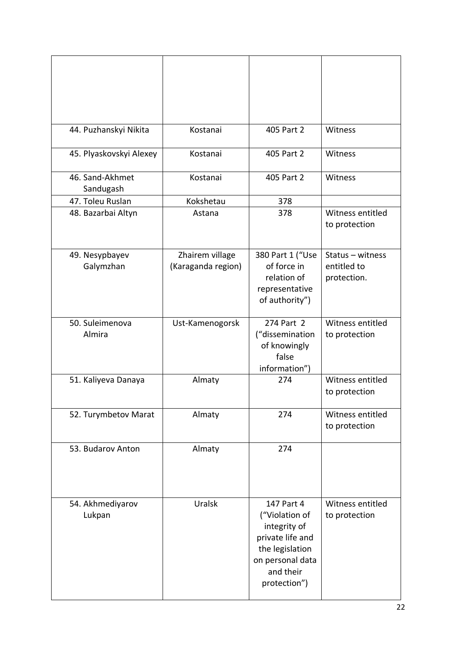| 44. Puzhanskyi Nikita        | Kostanai                              | 405 Part 2                                                                                                                           | Witness                                        |
|------------------------------|---------------------------------------|--------------------------------------------------------------------------------------------------------------------------------------|------------------------------------------------|
| 45. Plyaskovskyi Alexey      | Kostanai                              | 405 Part 2                                                                                                                           | Witness                                        |
| 46. Sand-Akhmet<br>Sandugash | Kostanai                              | 405 Part 2                                                                                                                           | Witness                                        |
| 47. Toleu Ruslan             | Kokshetau                             | 378                                                                                                                                  |                                                |
| 48. Bazarbai Altyn           | Astana                                | 378                                                                                                                                  | Witness entitled<br>to protection              |
| 49. Nesypbayev<br>Galymzhan  | Zhairem village<br>(Karaganda region) | 380 Part 1 ("Use<br>of force in<br>relation of<br>representative<br>of authority")                                                   | Status - witness<br>entitled to<br>protection. |
| 50. Suleimenova<br>Almira    | Ust-Kamenogorsk                       | 274 Part 2<br>("dissemination<br>of knowingly<br>false<br>information")                                                              | Witness entitled<br>to protection              |
| 51. Kaliyeva Danaya          | Almaty                                | 274                                                                                                                                  | Witness entitled<br>to protection              |
| 52. Turymbetov Marat         | Almaty                                | 274                                                                                                                                  | Witness entitled<br>to protection              |
| 53. Budarov Anton            | Almaty                                | 274                                                                                                                                  |                                                |
| 54. Akhmediyarov<br>Lukpan   | Uralsk                                | 147 Part 4<br>("Violation of<br>integrity of<br>private life and<br>the legislation<br>on personal data<br>and their<br>protection") | Witness entitled<br>to protection              |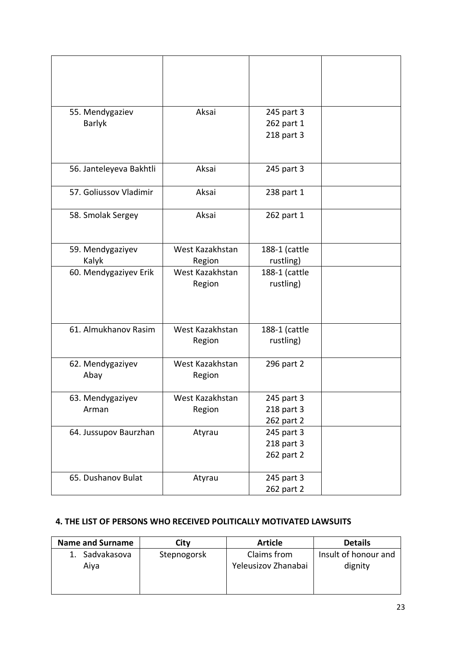| 55. Mendygaziev         | Aksai           | 245 part 3    |  |
|-------------------------|-----------------|---------------|--|
| <b>Barlyk</b>           |                 | 262 part 1    |  |
|                         |                 | 218 part 3    |  |
|                         |                 |               |  |
| 56. Janteleyeva Bakhtli | Aksai           | 245 part 3    |  |
|                         |                 |               |  |
| 57. Goliussov Vladimir  | Aksai           | 238 part 1    |  |
| 58. Smolak Sergey       | Aksai           |               |  |
|                         |                 | 262 part 1    |  |
|                         |                 |               |  |
| 59. Mendygaziyev        | West Kazakhstan | 188-1 (cattle |  |
| Kalyk                   | Region          | rustling)     |  |
| 60. Mendygaziyev Erik   | West Kazakhstan | 188-1 (cattle |  |
|                         | Region          | rustling)     |  |
|                         |                 |               |  |
|                         |                 |               |  |
| 61. Almukhanov Rasim    | West Kazakhstan | 188-1 (cattle |  |
|                         | Region          | rustling)     |  |
|                         |                 |               |  |
| 62. Mendygaziyev        | West Kazakhstan | 296 part 2    |  |
| Abay                    | Region          |               |  |
| 63. Mendygaziyev        | West Kazakhstan | 245 part 3    |  |
| Arman                   | Region          | 218 part 3    |  |
|                         |                 | 262 part 2    |  |
| 64. Jussupov Baurzhan   | Atyrau          | 245 part 3    |  |
|                         |                 | 218 part 3    |  |
|                         |                 | 262 part 2    |  |
|                         |                 |               |  |
| 65. Dushanov Bulat      | Atyrau          | 245 part 3    |  |
|                         |                 | 262 part 2    |  |

# **4. THE LIST OF PERSONS WHO RECEIVED POLITICALLY MOTIVATED LAWSUITS**

| <b>Name and Surname</b> | Citv        | <b>Article</b>      | <b>Details</b>       |
|-------------------------|-------------|---------------------|----------------------|
| Sadvakasova             | Stepnogorsk | Claims from         | Insult of honour and |
| Aiva                    |             | Yeleusizov Zhanabai | dignity              |
|                         |             |                     |                      |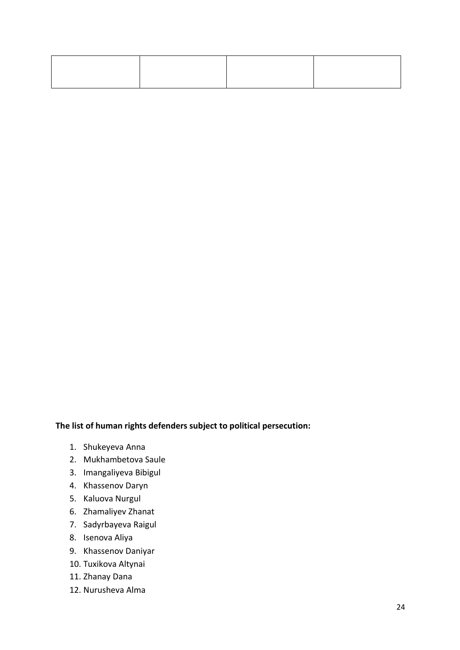## **The list of human rights defenders subject to political persecution:**

- 1. Shukeyeva Anna
- 2. Mukhambetova Saule
- 3. Imangaliyeva Bibigul
- 4. Khassenov Daryn
- 5. Kaluova Nurgul
- 6. Zhamaliyev Zhanat
- 7. Sadyrbayeva Raigul
- 8. Isenova Aliya
- 9. Khassenov Daniyar
- 10. Tuxikova Altynai
- 11. Zhanay Dana
- 12. Nurusheva Alma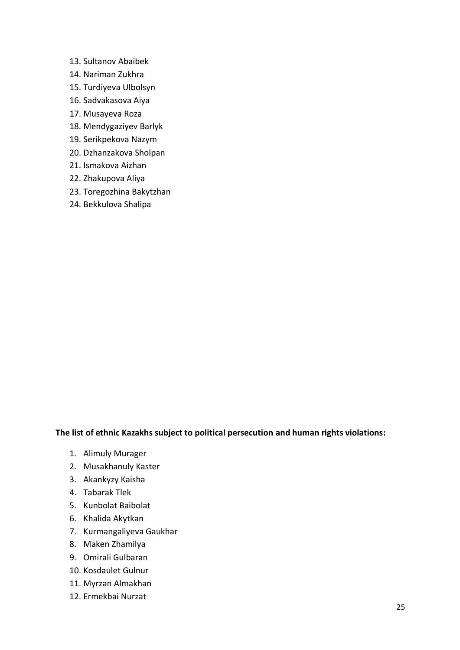- 13. Sultanov Abaibek
- 14. Nariman Zukhra
- 15. Turdiyeva Ulbolsyn
- 16. Sadvakasova Aiya
- 17. Musayeva Roza
- 18. Mendygaziyev Barlyk
- 19. Serikpekova Nazym
- 20. Dzhanzakova Sholpan
- 21. Ismakova Aizhan
- 22. Zhakupova Aliya
- 23. Toregozhina Bakytzhan
- 24. Bekkulova Shalipa

## **The list of ethnic Kazakhs subject to political persecution and human rights violations:**

- 1. Alimuly Murager
- 2. Musakhanuly Kaster
- 3. Akankyzy Kaisha
- 4. Tabarak Tlek
- 5. Kunbolat Baibolat
- 6. Khalida Akytkan
- 7. Kurmangaliyeva Gaukhar
- 8. Maken Zhamilya
- 9. Omirali Gulbaran
- 10. Kosdaulet Gulnur
- 11. Myrzan Almakhan
- 12. Ermekbai Nurzat